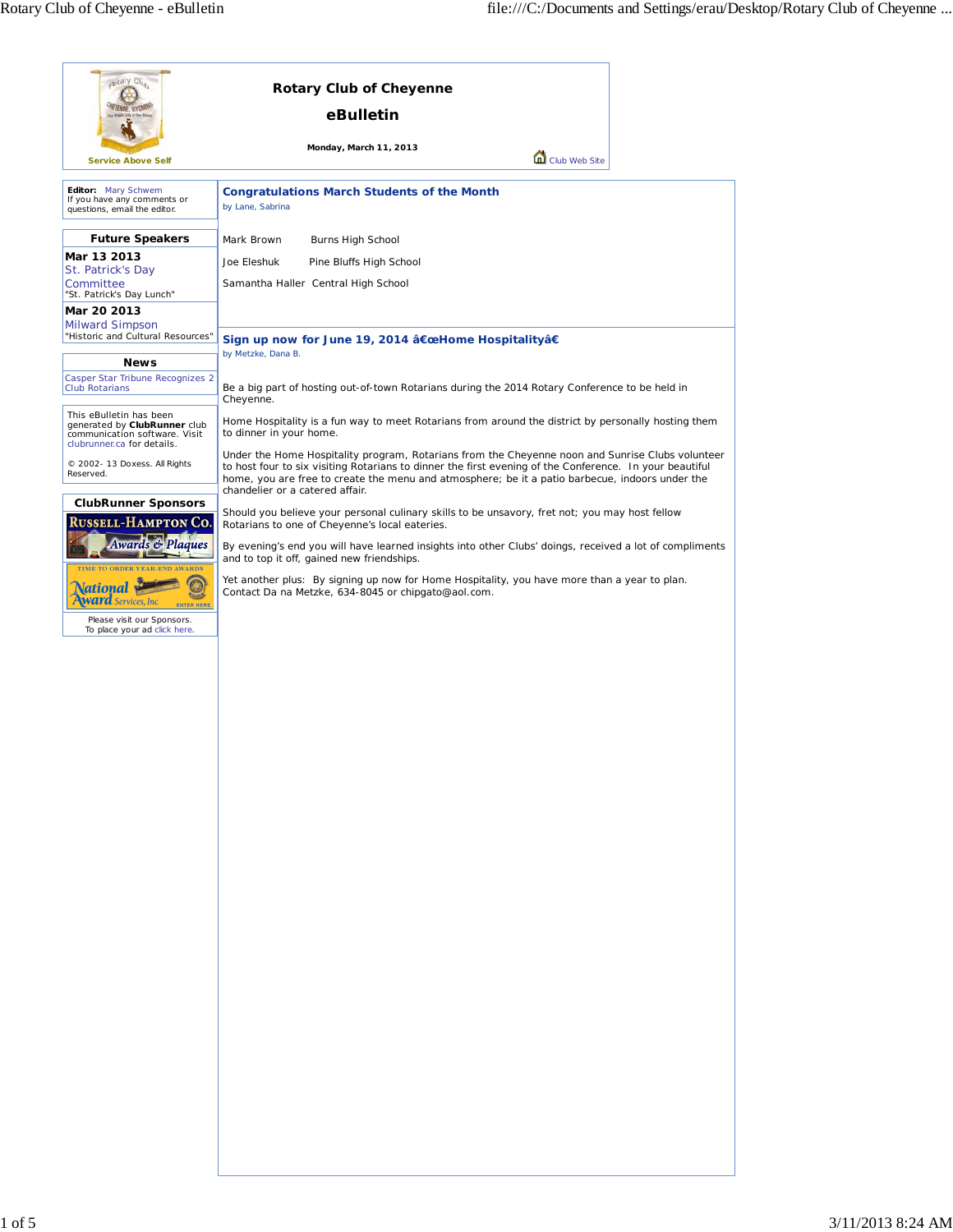| estary Ct.<br><b>Service Above Self</b>                                                                                                                                                                            | <b>Rotary Club of Cheyenne</b><br>eBulletin<br>Monday, March 11, 2013<br>Club Web Site                                                                                                                                                                                                                                                                                                                                                                                                                                                                                                                                                                                                                                                                                                                                |
|--------------------------------------------------------------------------------------------------------------------------------------------------------------------------------------------------------------------|-----------------------------------------------------------------------------------------------------------------------------------------------------------------------------------------------------------------------------------------------------------------------------------------------------------------------------------------------------------------------------------------------------------------------------------------------------------------------------------------------------------------------------------------------------------------------------------------------------------------------------------------------------------------------------------------------------------------------------------------------------------------------------------------------------------------------|
| Editor: Mary Schwem<br>If you have any comments or<br>questions, email the editor.                                                                                                                                 | <b>Congratulations March Students of the Month</b><br>by Lane, Sabrina                                                                                                                                                                                                                                                                                                                                                                                                                                                                                                                                                                                                                                                                                                                                                |
| <b>Future Speakers</b><br>Mar 13 2013<br>St. Patrick's Day<br>Committee<br>"St. Patrick's Day Lunch"<br>Mar 20 2013                                                                                                | Mark Brown<br>Burns High School<br>Joe Eleshuk<br>Pine Bluffs High School<br>Samantha Haller Central High School                                                                                                                                                                                                                                                                                                                                                                                                                                                                                                                                                                                                                                                                                                      |
| <b>Milward Simpson</b><br>"Historic and Cultural Resources"<br><b>News</b><br>Casper Star Tribune Recognizes 2<br><b>Club Rotarians</b>                                                                            | Sign up now for June 19, 2014 "Home Hospitalityâ€<br>by Metzke, Dana B.<br>Be a big part of hosting out-of-town Rotarians during the 2014 Rotary Conference to be held in                                                                                                                                                                                                                                                                                                                                                                                                                                                                                                                                                                                                                                             |
| This eBulletin has been<br>generated by ClubRunner club<br>communication software. Visit<br>clubrunner.ca for details.                                                                                             | Cheyenne.<br>Home Hospitality is a fun way to meet Rotarians from around the district by personally hosting them<br>to dinner in your home.                                                                                                                                                                                                                                                                                                                                                                                                                                                                                                                                                                                                                                                                           |
| © 2002- 13 Doxess. All Rights<br>Reserved.<br><b>ClubRunner Sponsors</b><br>Russell-Hampton Co.<br><b>Awards &amp; Plaques</b><br>TIME TO ORDER YEAR-END AWARDS<br>Services, Inc<br><b><i><u>ITER HERE</u></i></b> | Under the Home Hospitality program, Rotarians from the Cheyenne noon and Sunrise Clubs volunteer<br>to host four to six visiting Rotarians to dinner the first evening of the Conference. In your beautiful<br>home, you are free to create the menu and atmosphere; be it a patio barbecue, indoors under the<br>chandelier or a catered affair.<br>Should you believe your personal culinary skills to be unsavory, fret not; you may host fellow<br>Rotarians to one of Cheyenne's local eateries.<br>By evening's end you will have learned insights into other Clubs' doings, received a lot of compliments<br>and to top it off, gained new friendships.<br>Yet another plus: By signing up now for Home Hospitality, you have more than a year to plan.<br>Contact Da na Metzke, 634-8045 or chipgato@aol.com. |
| Please visit our Sponsors.<br>To place your ad click here.                                                                                                                                                         |                                                                                                                                                                                                                                                                                                                                                                                                                                                                                                                                                                                                                                                                                                                                                                                                                       |
|                                                                                                                                                                                                                    |                                                                                                                                                                                                                                                                                                                                                                                                                                                                                                                                                                                                                                                                                                                                                                                                                       |
|                                                                                                                                                                                                                    |                                                                                                                                                                                                                                                                                                                                                                                                                                                                                                                                                                                                                                                                                                                                                                                                                       |
|                                                                                                                                                                                                                    |                                                                                                                                                                                                                                                                                                                                                                                                                                                                                                                                                                                                                                                                                                                                                                                                                       |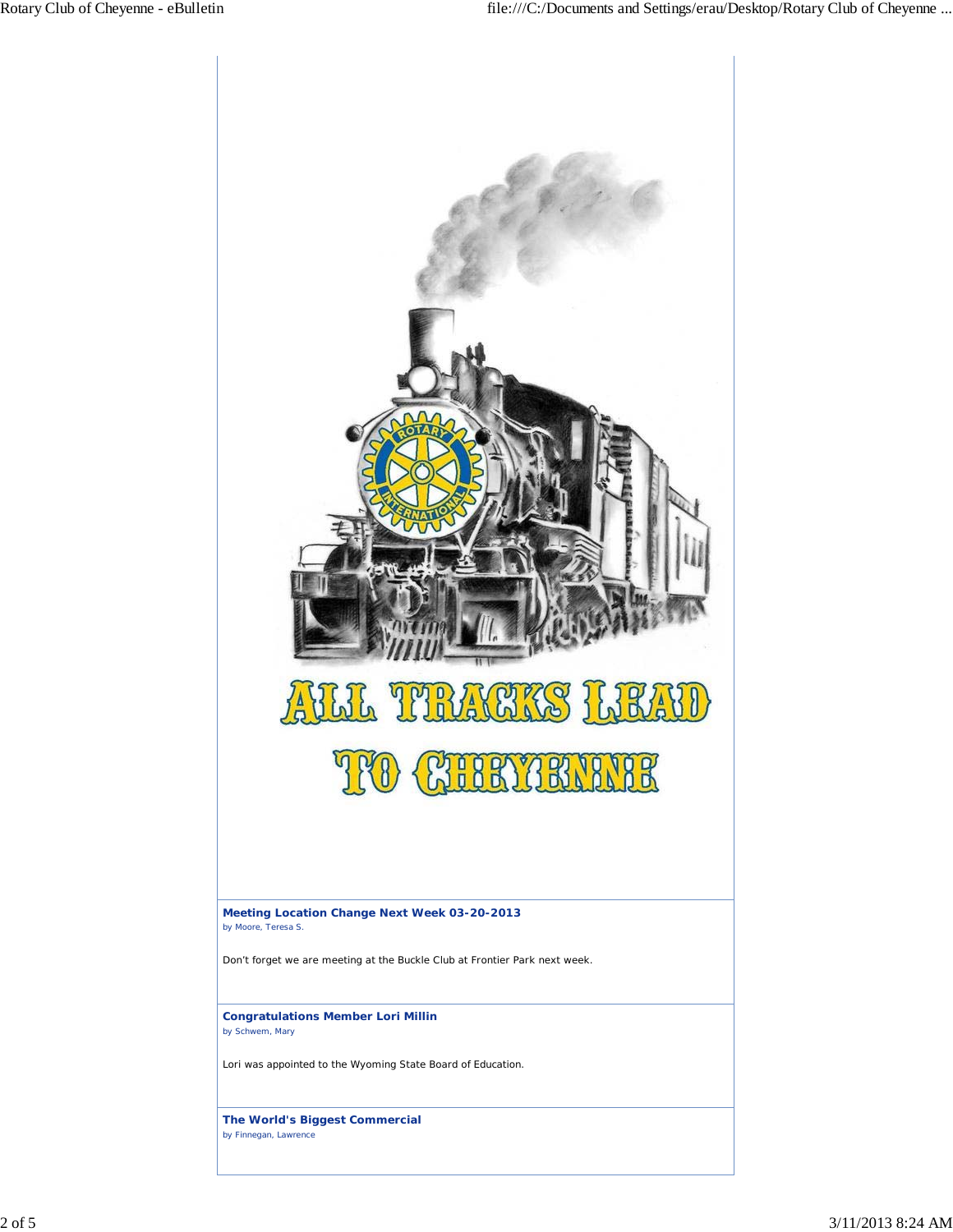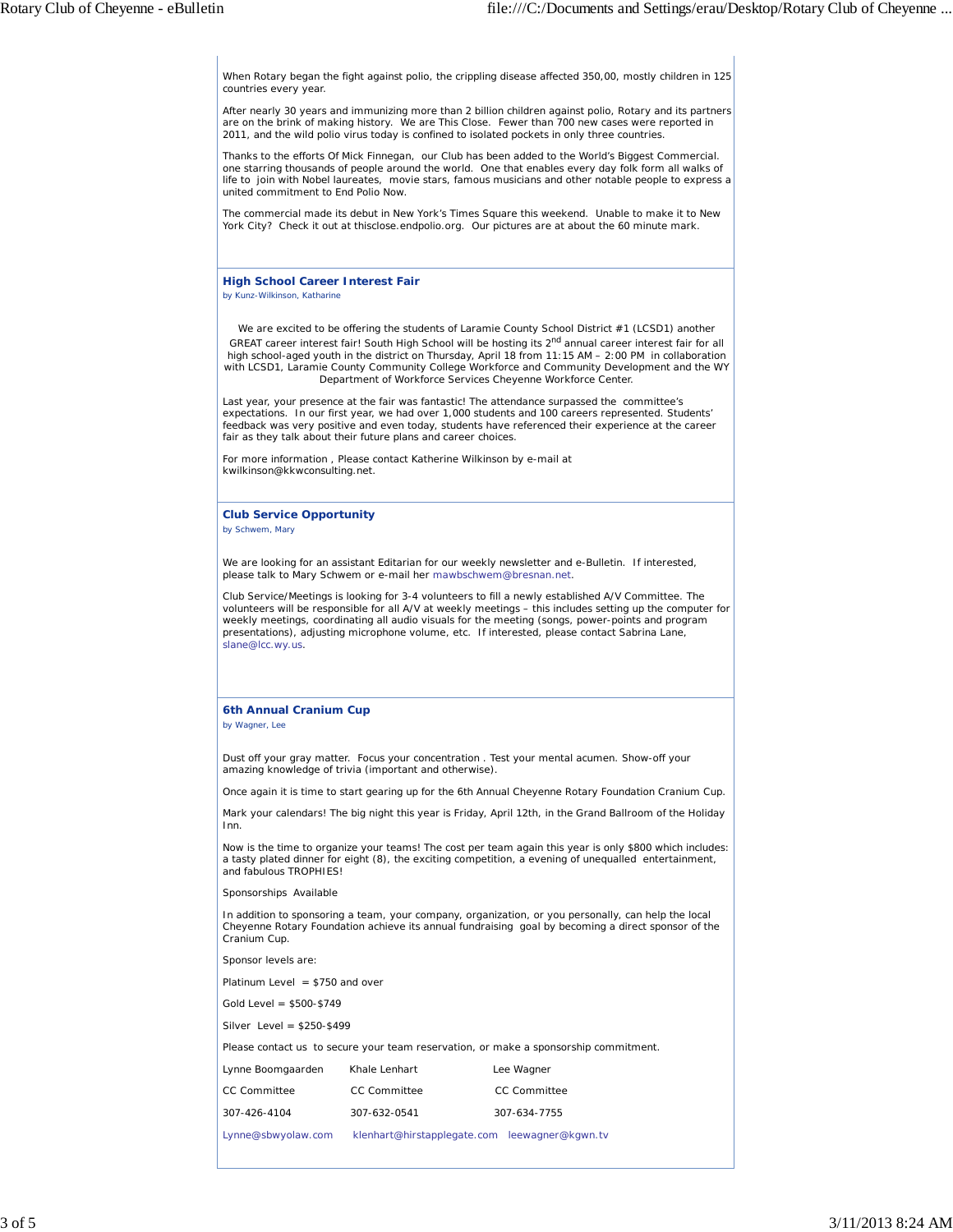When Rotary began the fight against polio, the crippling disease affected 350,00, mostly children in 125 countries every year.

After nearly 30 years and immunizing more than 2 billion children against polio, Rotary and its partners are on the brink of making history. We are This Close. Fewer than 700 new cases were reported in 2011, and the wild polio virus today is confined to isolated pockets in only three countries.

Thanks to the efforts Of Mick Finnegan, our Club has been added to the World's Biggest Commercial. one starring thousands of people around the world. One that enables every day folk form all walks of life to join with Nobel laureates, movie stars, famous musicians and other notable people to express a united commitment to End Polio Now.

The commercial made its debut in New York's Times Square this weekend. Unable to make it to New York City? Check it out at thisclose.endpolio.org. Our pictures are at about the 60 minute mark.

## **High School Career Interest Fair**

*by Kunz-Wilkinson, Katharine*

We are excited to be offering the students of Laramie County School District #1 (LCSD1) another GREAT career interest fair! South High School will be hosting its 2<sup>nd</sup> annual career interest fair for all high school-aged youth in the district on Thursday, April 18 from 11:15 AM – 2:00 PM in collaboration with LCSD1, Laramie County Community College Workforce and Community Development and the WY Department of Workforce Services Cheyenne Workforce Center.

Last year, your presence at the fair was fantastic! The attendance surpassed the committee's expectations. In our first year, we had over 1,000 students and 100 careers represented. Students' feedback was very positive and even today, students have referenced their experience at the career fair as they talk about their future plans and career choices.

For more information , Please contact Katherine Wilkinson by e-mail at kwilkinson@kkwconsulting.net.

**Club Service Opportunity** *by Schwem, Mary*

We are looking for an assistant Editarian for our weekly newsletter and e-Bulletin. If interested, please talk to Mary Schwem or e-mail her mawbschwem@bresnan.net.

Club Service/Meetings is looking for 3-4 volunteers to fill a newly established A/V Committee. The volunteers will be responsible for all A/V at weekly meetings – this includes setting up the computer for weekly meetings, coordinating all audio visuals for the meeting (songs, power-points and program presentations), adjusting microphone volume, etc. If interested, please contact Sabrina Lane, slane@lcc.wy.us.

## **6th Annual Cranium Cup**

*by Wagner, Lee*

Dust off your gray matter. Focus your concentration . Test your mental acumen. Show-off your amazing knowledge of trivia (important and otherwise).

Once again it is time to start gearing up for the 6th Annual Cheyenne Rotary Foundation Cranium Cup.

Mark your calendars! The big night this year is Friday, April 12th, in the Grand Ballroom of the Holiday Inn.

Now is the time to organize your teams! The cost per team again this year is only \$800 which includes: a tasty plated dinner for eight (8), the exciting competition, a evening of unequalled entertainment, and fabulous TROPHIES!

Sponsorships Available

In addition to sponsoring a team, your company, organization, or you personally, can help the local Cheyenne Rotary Foundation achieve its annual fundraising goal by becoming a direct sponsor of the Cranium Cup.

Sponsor levels are:

Platinum Level = \$750 and over

Gold Level = \$500-\$749

Silver Level = \$250-\$499

Please contact us to secure your team reservation, or make a sponsorship commitment.

| Lynne Boomgaarden  | Khale Lenhart                                 | Lee Wagner          |
|--------------------|-----------------------------------------------|---------------------|
| CC Committee       | <b>CC Committee</b>                           | <b>CC Committee</b> |
| 307-426-4104       | 307-632-0541                                  | 307-634-7755        |
| Lynne@sbwyolaw.com | klenhart@hirstapplegate.com leewagner@kgwn.tv |                     |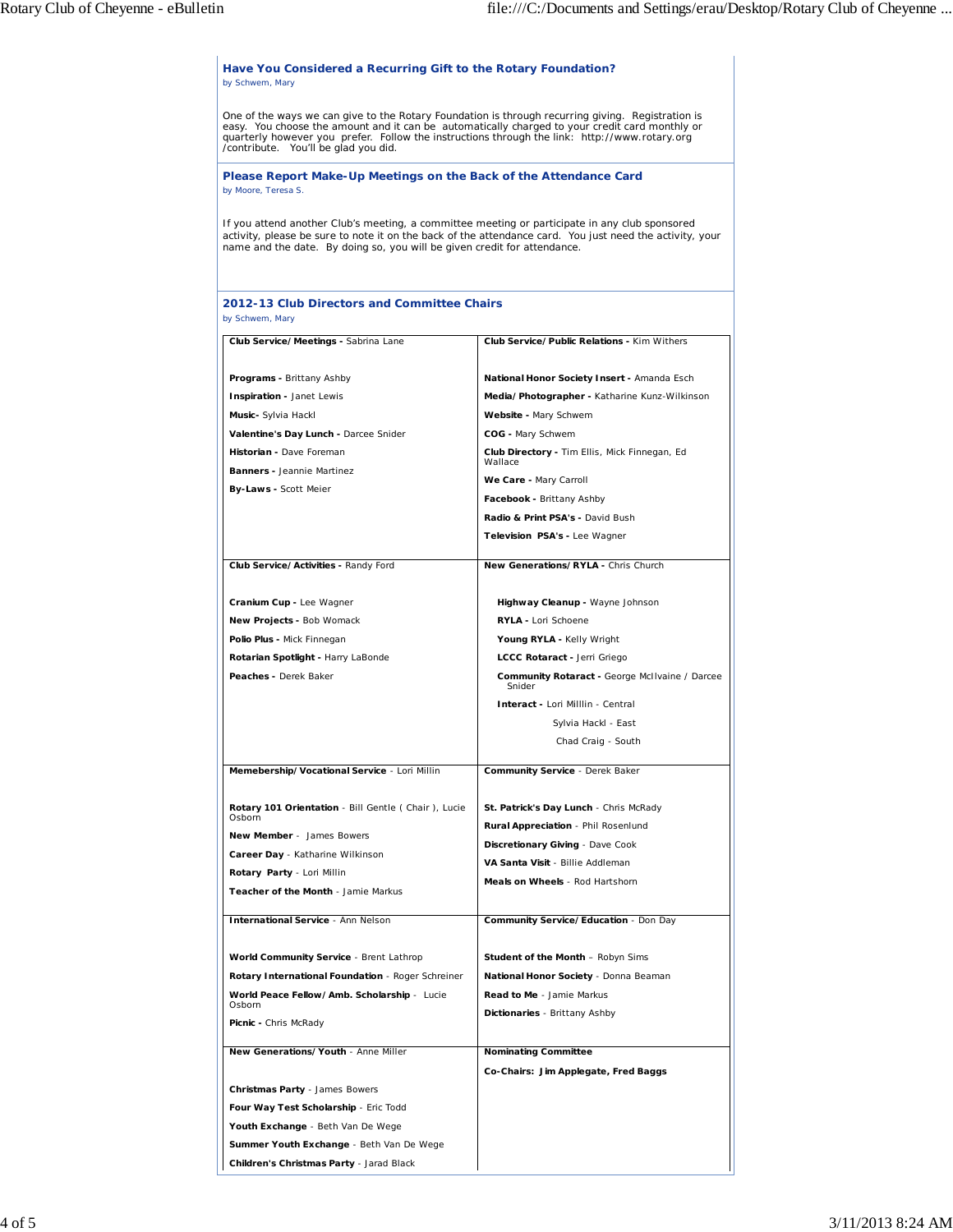| One of the ways we can give to the Rotary Foundation is through recurring giving. Registration is<br>easy. You choose the amount and it can be automatically charged to your credit card monthly or<br>quarterly however you prefer. Follow the instructions through the link: http://www.rotary.org<br>/contribute. You'll be glad you did. |                                                                                                          |  |
|----------------------------------------------------------------------------------------------------------------------------------------------------------------------------------------------------------------------------------------------------------------------------------------------------------------------------------------------|----------------------------------------------------------------------------------------------------------|--|
| Please Report Make-Up Meetings on the Back of the Attendance Card<br>by Moore, Teresa S.                                                                                                                                                                                                                                                     |                                                                                                          |  |
| If you attend another Club's meeting, a committee meeting or participate in any club sponsored<br>name and the date. By doing so, you will be given credit for attendance.                                                                                                                                                                   | activity, please be sure to note it on the back of the attendance card. You just need the activity, your |  |
| 2012-13 Club Directors and Committee Chairs<br>by Schwem, Mary                                                                                                                                                                                                                                                                               |                                                                                                          |  |
| Club Service/Meetings - Sabrina Lane                                                                                                                                                                                                                                                                                                         | <b>Club Service/Public Relations - Kim Withers</b>                                                       |  |
| Programs - Brittany Ashby                                                                                                                                                                                                                                                                                                                    | National Honor Society Insert - Amanda Esch                                                              |  |
| Inspiration - Janet Lewis                                                                                                                                                                                                                                                                                                                    | Media/Photographer - Katharine Kunz-Wilkinson                                                            |  |
| Music- Sylvia Hackl                                                                                                                                                                                                                                                                                                                          | Website - Mary Schwem                                                                                    |  |
| Valentine's Day Lunch - Darcee Snider                                                                                                                                                                                                                                                                                                        | COG - Mary Schwem                                                                                        |  |
| Historian - Dave Foreman<br>Banners - Jeannie Martinez                                                                                                                                                                                                                                                                                       | Club Directory - Tim Ellis, Mick Finnegan, Ed<br>Wallace                                                 |  |
| By-Laws - Scott Meier                                                                                                                                                                                                                                                                                                                        | We Care - Mary Carroll                                                                                   |  |
|                                                                                                                                                                                                                                                                                                                                              | Facebook - Brittany Ashby                                                                                |  |
|                                                                                                                                                                                                                                                                                                                                              | Radio & Print PSA's - David Bush                                                                         |  |
|                                                                                                                                                                                                                                                                                                                                              | Television PSA's - Lee Wagner                                                                            |  |
| Club Service/Activities - Randy Ford                                                                                                                                                                                                                                                                                                         | New Generations/RYLA - Chris Church                                                                      |  |
| Cranium Cup - Lee Wagner                                                                                                                                                                                                                                                                                                                     | Highway Cleanup - Wayne Johnson                                                                          |  |
| New Projects - Bob Womack                                                                                                                                                                                                                                                                                                                    | RYLA - Lori Schoene                                                                                      |  |
| Polio Plus - Mick Finnegan                                                                                                                                                                                                                                                                                                                   | Young RYLA - Kelly Wright                                                                                |  |
| Rotarian Spotlight - Harry LaBonde                                                                                                                                                                                                                                                                                                           | LCCC Rotaract - Jerri Griego                                                                             |  |
| Peaches - Derek Baker                                                                                                                                                                                                                                                                                                                        | <b>Community Rotaract - George McIlvaine / Darcee</b><br>Snider                                          |  |
|                                                                                                                                                                                                                                                                                                                                              | Interact - Lori Milllin - Central<br>Sylvia Hackl - East                                                 |  |
|                                                                                                                                                                                                                                                                                                                                              | Chad Craig - South                                                                                       |  |
| Memebership/Vocational Service - Lori Millin                                                                                                                                                                                                                                                                                                 | Community Service - Derek Baker                                                                          |  |
| Rotary 101 Orientation - Bill Gentle (Chair), Lucie                                                                                                                                                                                                                                                                                          | St. Patrick's Day Lunch - Chris McRady                                                                   |  |
| Osborn                                                                                                                                                                                                                                                                                                                                       | Rural Appreciation - Phil Rosenlund                                                                      |  |
| <b>New Member</b> - James Bowers                                                                                                                                                                                                                                                                                                             | Discretionary Giving - Dave Cook                                                                         |  |
| Career Day - Katharine Wilkinson                                                                                                                                                                                                                                                                                                             | VA Santa Visit - Billie Addleman                                                                         |  |
| Rotary Party - Lori Millin<br>Teacher of the Month - Jamie Markus                                                                                                                                                                                                                                                                            | Meals on Wheels - Rod Hartshorn                                                                          |  |
| International Service - Ann Nelson                                                                                                                                                                                                                                                                                                           | Community Service/Education - Don Day                                                                    |  |
| World Community Service - Brent Lathrop                                                                                                                                                                                                                                                                                                      | <b>Student of the Month - Robyn Sims</b>                                                                 |  |
| Rotary International Foundation - Roger Schreiner                                                                                                                                                                                                                                                                                            | National Honor Society - Donna Beaman                                                                    |  |
| World Peace Fellow/Amb. Scholarship - Lucie                                                                                                                                                                                                                                                                                                  | <b>Read to Me</b> - Jamie Markus                                                                         |  |
| Osborn<br>Picnic - Chris McRady                                                                                                                                                                                                                                                                                                              | Dictionaries - Brittany Ashby                                                                            |  |
| New Generations/Youth - Anne Miller                                                                                                                                                                                                                                                                                                          | <b>Nominating Committee</b>                                                                              |  |
|                                                                                                                                                                                                                                                                                                                                              | Co-Chairs: Jim Applegate, Fred Baggs                                                                     |  |
|                                                                                                                                                                                                                                                                                                                                              |                                                                                                          |  |
|                                                                                                                                                                                                                                                                                                                                              |                                                                                                          |  |
|                                                                                                                                                                                                                                                                                                                                              |                                                                                                          |  |
| <b>Christmas Party - James Bowers</b><br>Four Way Test Scholarship - Eric Todd<br>Youth Exchange - Beth Van De Wege                                                                                                                                                                                                                          |                                                                                                          |  |